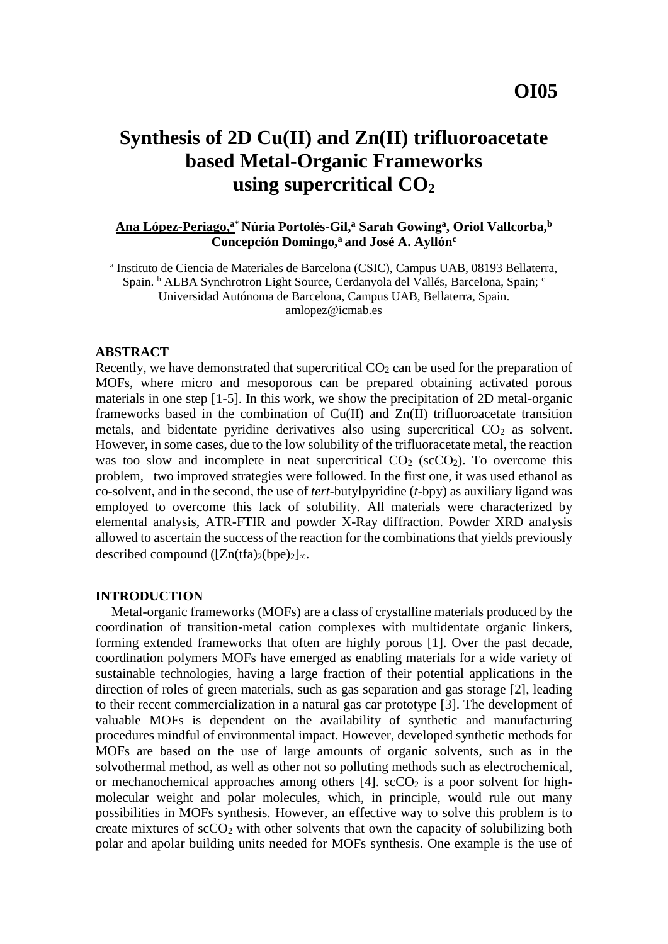# **Synthesis of 2D Cu(II) and Zn(II) trifluoroacetate based Metal-Organic Frameworks using supercritical CO<sup>2</sup>**

## **Ana López-Periago, a\* Núria Portolés-Gil,<sup>a</sup> Sarah Gowing<sup>a</sup> , Oriol Vallcorba,<sup>b</sup> Concepción Domingo,<sup>a</sup> and José A. Ayllón<sup>c</sup>**

a Instituto de Ciencia de Materiales de Barcelona (CSIC), Campus UAB, 08193 Bellaterra, Spain. <sup>b</sup> ALBA Synchrotron Light Source, Cerdanyola del Vallés, Barcelona, Spain; <sup>c</sup> Universidad Autónoma de Barcelona, Campus UAB, Bellaterra, Spain. amlopez@icmab.es

#### **ABSTRACT**

Recently, we have demonstrated that supercritical  $CO<sub>2</sub>$  can be used for the preparation of MOFs, where micro and mesoporous can be prepared obtaining activated porous materials in one step [1-5]. In this work, we show the precipitation of 2D metal-organic frameworks based in the combination of Cu(II) and Zn(II) trifluoroacetate transition metals, and bidentate pyridine derivatives also using supercritical  $CO<sub>2</sub>$  as solvent. However, in some cases, due to the low solubility of the trifluoracetate metal, the reaction was too slow and incomplete in neat supercritical  $CO<sub>2</sub>$  (scCO<sub>2</sub>). To overcome this problem, two improved strategies were followed. In the first one, it was used ethanol as co-solvent, and in the second, the use of *tert*-butylpyridine (*t*-bpy) as auxiliary ligand was employed to overcome this lack of solubility. All materials were characterized by elemental analysis, ATR-FTIR and powder X-Ray diffraction. Powder XRD analysis allowed to ascertain the success of the reaction for the combinations that yields previously described compound ( $[Zn(tfa)_2(bpe)_2]$ <sub> $\propto$ </sub>.

## **INTRODUCTION**

Metal-organic frameworks (MOFs) are a class of crystalline materials produced by the coordination of transition-metal cation complexes with multidentate organic linkers, forming extended frameworks that often are highly porous [1]. Over the past decade, coordination polymers MOFs have emerged as enabling materials for a wide variety of sustainable technologies, having a large fraction of their potential applications in the direction of roles of green materials, such as gas separation and gas storage [2], leading to their recent commercialization in a natural gas car prototype [3]. The development of valuable MOFs is dependent on the availability of synthetic and manufacturing procedures mindful of environmental impact. However, developed synthetic methods for MOFs are based on the use of large amounts of organic solvents, such as in the solvothermal method, as well as other not so polluting methods such as electrochemical, or mechanochemical approaches among others  $[4]$ . scCO<sub>2</sub> is a poor solvent for highmolecular weight and polar molecules, which, in principle, would rule out many possibilities in MOFs synthesis. However, an effective way to solve this problem is to create mixtures of  $\sec 0_2$  with other solvents that own the capacity of solubilizing both polar and apolar building units needed for MOFs synthesis. One example is the use of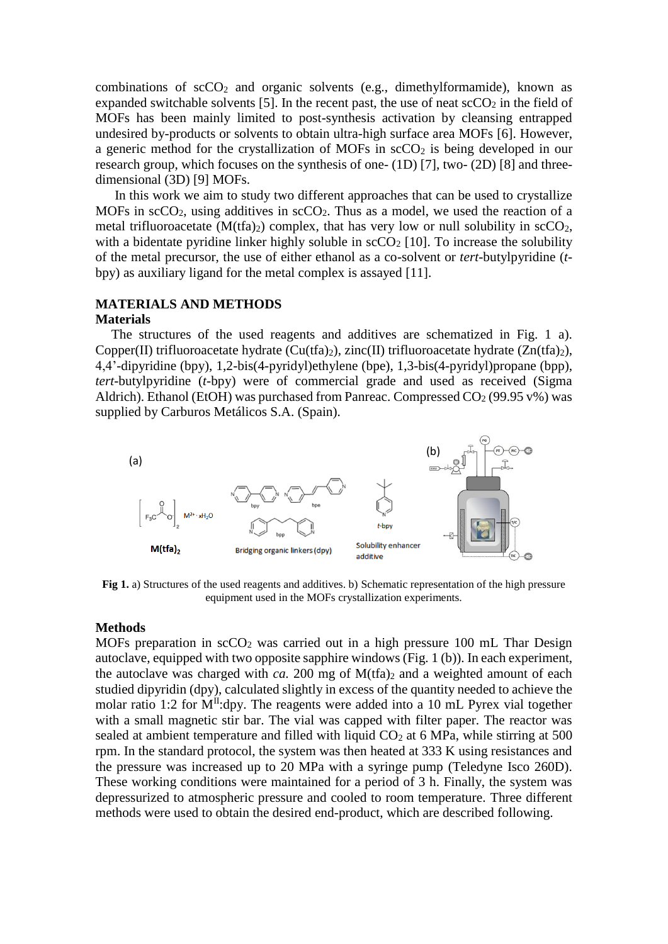combinations of  $scCO<sub>2</sub>$  and organic solvents (e.g., dimethylformamide), known as expanded switchable solvents [5]. In the recent past, the use of neat  $\sec O_2$  in the field of MOFs has been mainly limited to post-synthesis activation by cleansing entrapped undesired by-products or solvents to obtain ultra-high surface area MOFs [6]. However, a generic method for the crystallization of MOFs in scCO<sub>2</sub> is being developed in our research group, which focuses on the synthesis of one- (1D) [7], two- (2D) [8] and threedimensional (3D) [9] MOFs.

In this work we aim to study two different approaches that can be used to crystallize MOFs in  $\sec 0_2$ , using additives in  $\sec 0_2$ . Thus as a model, we used the reaction of a metal trifluoroacetate  $(M(tfa)_2)$  complex, that has very low or null solubility in scCO<sub>2</sub>. with a bidentate pyridine linker highly soluble in  $\sec O_2$  [10]. To increase the solubility of the metal precursor, the use of either ethanol as a co-solvent or *tert*-butylpyridine (*t*bpy) as auxiliary ligand for the metal complex is assayed [11].

## **MATERIALS AND METHODS**

#### **Materials**

The structures of the used reagents and additives are schematized in Fig. 1 a). Copper(II) trifluoroacetate hydrate (Cu(tfa)<sub>2</sub>), zinc(II) trifluoroacetate hydrate (Zn(tfa)<sub>2</sub>), 4,4'-dipyridine (bpy), 1,2-bis(4-pyridyl)ethylene (bpe), 1,3-bis(4-pyridyl)propane (bpp), *tert*-butylpyridine (*t*-bpy) were of commercial grade and used as received (Sigma Aldrich). Ethanol (EtOH) was purchased from Panreac. Compressed  $CO<sub>2</sub>$  (99.95 v%) was supplied by Carburos Metálicos S.A. (Spain).



**Fig 1.** a) Structures of the used reagents and additives. b) Schematic representation of the high pressure equipment used in the MOFs crystallization experiments.

#### **Methods**

MOFs preparation in  $\sec O_2$  was carried out in a high pressure 100 mL Thar Design autoclave, equipped with two opposite sapphire windows (Fig. 1 (b)). In each experiment, the autoclave was charged with  $ca$ . 200 mg of  $M(tfa)_2$  and a weighted amount of each studied dipyridin (dpy), calculated slightly in excess of the quantity needed to achieve the molar ratio 1:2 for  $M<sup>II</sup>$ :dpy. The reagents were added into a 10 mL Pyrex vial together with a small magnetic stir bar. The vial was capped with filter paper. The reactor was sealed at ambient temperature and filled with liquid  $CO<sub>2</sub>$  at 6 MPa, while stirring at 500 rpm. In the standard protocol, the system was then heated at 333 K using resistances and the pressure was increased up to 20 MPa with a syringe pump (Teledyne Isco 260D). These working conditions were maintained for a period of 3 h. Finally, the system was depressurized to atmospheric pressure and cooled to room temperature. Three different methods were used to obtain the desired end-product, which are described following.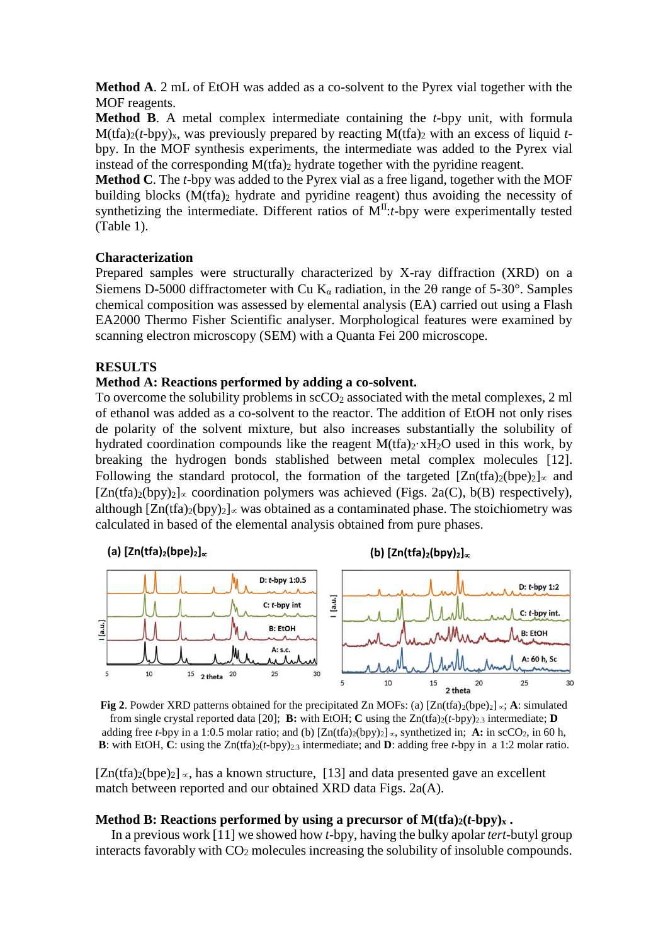**Method A**. 2 mL of EtOH was added as a co-solvent to the Pyrex vial together with the MOF reagents.

**Method B**. A metal complex intermediate containing the *t*-bpy unit, with formula  $M(tfa)_{2}(t-bpy)_{x}$ , was previously prepared by reacting  $M(tfa)_{2}$  with an excess of liquid *t*bpy. In the MOF synthesis experiments, the intermediate was added to the Pyrex vial instead of the corresponding  $M(tfa)$ <sub>2</sub> hydrate together with the pyridine reagent.

**Method C**. The *t*-bpy was added to the Pyrex vial as a free ligand, together with the MOF building blocks  $(M(tfa)_2)$  hydrate and pyridine reagent) thus avoiding the necessity of synthetizing the intermediate. Different ratios of  $\overline{M}^{II}$ :*t*-bpy were experimentally tested (Table 1).

#### **Characterization**

Prepared samples were structurally characterized by X-ray diffraction (XRD) on a Siemens D-5000 diffractometer with Cu K<sub>α</sub> radiation, in the 20 range of 5-30°. Samples chemical composition was assessed by elemental analysis (EA) carried out using a Flash EA2000 Thermo Fisher Scientific analyser. Morphological features were examined by scanning electron microscopy (SEM) with a Quanta Fei 200 microscope.

## **RESULTS**

#### **Method A: Reactions performed by adding a co-solvent.**

To overcome the solubility problems in  $\mathrm{scCO}_2$  associated with the metal complexes, 2 ml of ethanol was added as a co-solvent to the reactor. The addition of EtOH not only rises de polarity of the solvent mixture, but also increases substantially the solubility of hydrated coordination compounds like the reagent  $M(tfa)<sub>2</sub>·xH<sub>2</sub>O$  used in this work, by breaking the hydrogen bonds stablished between metal complex molecules [12]. Following the standard protocol, the formation of the targeted  $[Zn(tfa)_2(bpe)_2]_{\infty}$  and  $[Zn(tfa)_2(bpy)_2] \propto$  coordination polymers was achieved (Figs. 2a(C), b(B) respectively), although  $[Zn(tfa)2(bpy)2] \propto$  was obtained as a contaminated phase. The stoichiometry was calculated in based of the elemental analysis obtained from pure phases.



**Fig 2**. Powder XRD patterns obtained for the precipitated Zn MOFs: (a)  $[Zn(tfa)_{2}(bpe)_{2}] \propto$ ; **A**: simulated from single crystal reported data [20]; **B:** with EtOH; **C** using the  $Zn(fa)_{2}(t-bpy)_{2,3}$  intermediate; **D** adding free *t*-bpy in a 1:0.5 molar ratio; and (b)  $[Zn(tfa)(bpy)] \propto$ , synthetized in; **A:** in scCO<sub>2</sub>, in 60 h, **B**: with EtOH, **C**: using the  $Zn(t-bpy)_{2,3}$  intermediate; and **D**: adding free *t*-bpy in a 1:2 molar ratio.

 $[Zn(tfa)_2(bpe)_2] \propto$ , has a known structure, [13] and data presented gave an excellent match between reported and our obtained XRD data Figs. 2a(A).

## **Method B: Reactions performed by using a precursor of**  $M(ffa)_{2}(t-bby)_{x}$ **.**

In a previous work [11] we showed how *t*-bpy, having the bulky apolar *tert*-butyl group interacts favorably with CO<sup>2</sup> molecules increasing the solubility of insoluble compounds.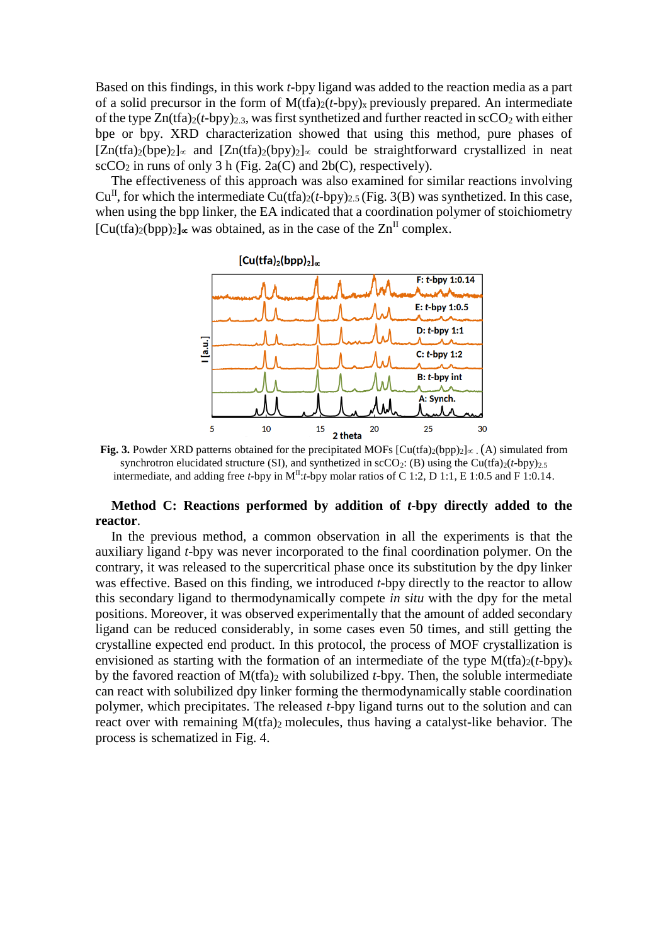Based on this findings, in this work *t*-bpy ligand was added to the reaction media as a part of a solid precursor in the form of  $M(tfa)_{2}(t-bpy)_{x}$  previously prepared. An intermediate of the type  $Zn(fa)_{2}(t-bpy)_{2,3}$ , was first synthetized and further reacted in  $\sec O_2$  with either bpe or bpy. XRD characterization showed that using this method, pure phases of  $[Zn(tfa)_2(bpe)_2]_{\propto}$  and  $[Zn(tfa)_2(bpv)_2]_{\propto}$  could be straightforward crystallized in neat  $\text{scCO}_2$  in runs of only 3 h (Fig. 2a(C) and 2b(C), respectively).

The effectiveness of this approach was also examined for similar reactions involving  $Cu<sup>H</sup>$ , for which the intermediate  $Cu(tfa)_{2}(t-bpy)_{2.5}$  (Fig. 3(B) was synthetized. In this case, when using the bpp linker, the EA indicated that a coordination polymer of stoichiometry  $[Cu(tfa)_{2}(bpp)_{2}]_{\infty}$  was obtained, as in the case of the  $Zn^{II}$  complex.



**Fig. 3.** Powder XRD patterns obtained for the precipitated MOFs  $\lbrack \text{Cu(tfa)}_{2}(bpp)_{2} \rbrack \propto (\text{A})$  simulated from synchrotron elucidated structure (SI), and synthetized in  $\text{SCO}_2$ : (B) using the Cu(tfa)<sub>2</sub>(*t*-bpy)<sub>2.5</sub>. intermediate, and adding free *t*-bpy in M<sup>II</sup>:*t*-bpy molar ratios of C 1:2, D 1:1, E 1:0.5 and F 1:0.14.

## **Method C: Reactions performed by addition of** *t***-bpy directly added to the reactor**.

In the previous method, a common observation in all the experiments is that the auxiliary ligand *t*-bpy was never incorporated to the final coordination polymer. On the contrary, it was released to the supercritical phase once its substitution by the dpy linker was effective. Based on this finding, we introduced *t*-bpy directly to the reactor to allow this secondary ligand to thermodynamically compete *in situ* with the dpy for the metal positions. Moreover, it was observed experimentally that the amount of added secondary ligand can be reduced considerably, in some cases even 50 times, and still getting the crystalline expected end product. In this protocol, the process of MOF crystallization is envisioned as starting with the formation of an intermediate of the type  $M(tfa)_{2}(t-bpy)_{x}$ by the favored reaction of  $M(tfa)$ <sub>2</sub> with solubilized *t*-bpy. Then, the soluble intermediate can react with solubilized dpy linker forming the thermodynamically stable coordination polymer, which precipitates. The released *t*-bpy ligand turns out to the solution and can react over with remaining M(tfa)<sub>2</sub> molecules, thus having a catalyst-like behavior. The process is schematized in Fig. 4.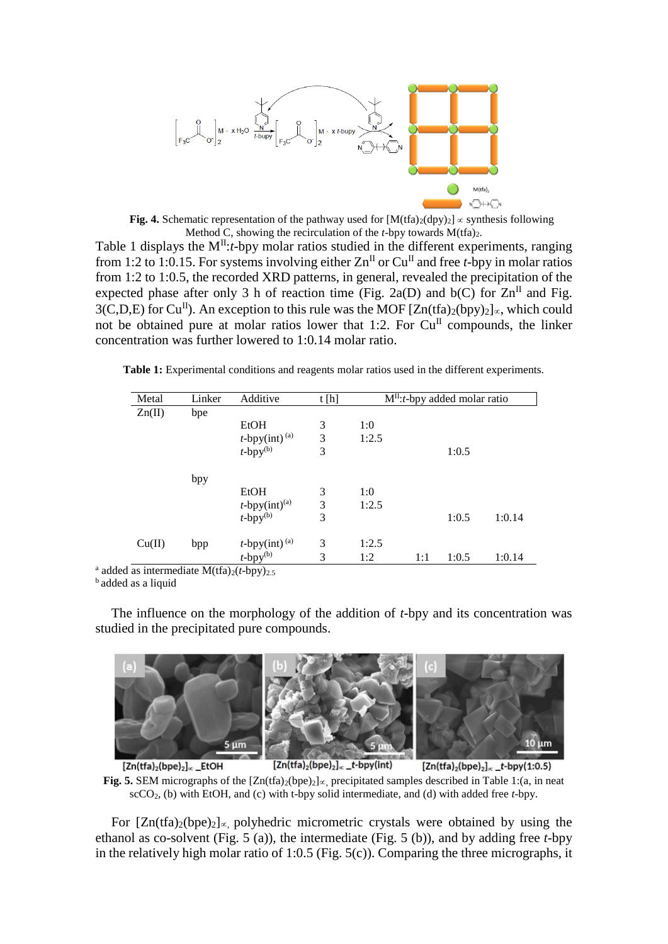

**Fig. 4.** Schematic representation of the pathway used for  $[M(tfa)_{2}(dpy)_{2}] \propto$  synthesis following Method C, showing the recirculation of the *t*-bpy towards  $M(fra)_2$ .

Table 1 displays the M<sup>II</sup>:*t*-bpy molar ratios studied in the different experiments, ranging from 1:2 to 1:0.15. For systems involving either  $\text{Zn}^{\text{II}}$  or  $\text{Cu}^{\text{II}}$  and free *t*-bpy in molar ratios from 1:2 to 1:0.5, the recorded XRD patterns, in general, revealed the precipitation of the expected phase after only 3 h of reaction time (Fig. 2a(D) and b(C) for  $\text{Zn}^{\text{II}}$  and Fig.  $3(C,D,E)$  for Cu<sup>II</sup>). An exception to this rule was the MOF  $[Zn(tfa)_2(bpy)_2]_{\alpha}$ , which could not be obtained pure at molar ratios lower that 1:2. For  $Cu<sup>H</sup>$  compounds, the linker concentration was further lowered to 1:0.14 molar ratio.

**Table 1:** Experimental conditions and reagents molar ratios used in the different experiments.

| Metal  | Linker<br>bpe | Additive                                                | t[h] | $M^{II}$ : <i>t</i> -bpy added molar ratio |     |       |        |
|--------|---------------|---------------------------------------------------------|------|--------------------------------------------|-----|-------|--------|
| Zn(II) |               |                                                         |      |                                            |     |       |        |
|        |               | <b>EtOH</b>                                             | 3    | 1:0                                        |     |       |        |
|        |               | $t$ -bpy(int) <sup>(a)</sup>                            | 3    | 1:2.5                                      |     |       |        |
|        |               | $t$ -bpy $^{(b)}$                                       | 3    |                                            |     | 1:0.5 |        |
|        | bpy           |                                                         |      |                                            |     |       |        |
|        |               | EtOH                                                    | 3    | 1:0                                        |     |       |        |
|        |               |                                                         | 3    | 1:2.5                                      |     |       |        |
|        |               | $t$ -bpy(int) <sup>(a)</sup><br>$t$ -bpy <sup>(b)</sup> | 3    |                                            |     | 1:0.5 | 1:0.14 |
| Cu(II) | bpp           | $t$ -bpy(int) <sup>(a)</sup>                            | 3    | 1:2.5                                      |     |       |        |
|        |               | $t$ -bpy $(b)$                                          | 3    | 1:2                                        | 1:1 | 1:0.5 | 1:0.14 |

<sup>a</sup> added as intermediate  $M(tfa)_{2}(t-bpy)_{2.5}$ 

**b** added as a liquid

The influence on the morphology of the addition of *t*-bpy and its concentration was studied in the precipitated pure compounds.



 $[Zn(tfa)_2(bpe)_2]_{\propto}$  \_EtOH  $[Zn(tfa)_2(bpe)_2]_{\propto}$  \_t-bpy(int)  $[Zn(tfa)<sub>2</sub>(bpe)<sub>2</sub>]<sub>~</sub>$ \_t-bpy(1:0.5) **Fig. 5.** SEM micrographs of the  $[Zn(ta)_{2}(bpe)_{2}]_{\alpha}$  precipitated samples described in Table 1:(a, in neat scCO2, (b) with EtOH, and (c) with t-bpy solid intermediate, and (d) with added free *t*-bpy.

For  $[Zn(fa)_2(bpe)_2]_{\infty}$  polyhedric micrometric crystals were obtained by using the ethanol as co-solvent (Fig. 5 (a)), the intermediate (Fig. 5 (b)), and by adding free *t*-bpy in the relatively high molar ratio of 1:0.5 (Fig.  $5(c)$ ). Comparing the three micrographs, it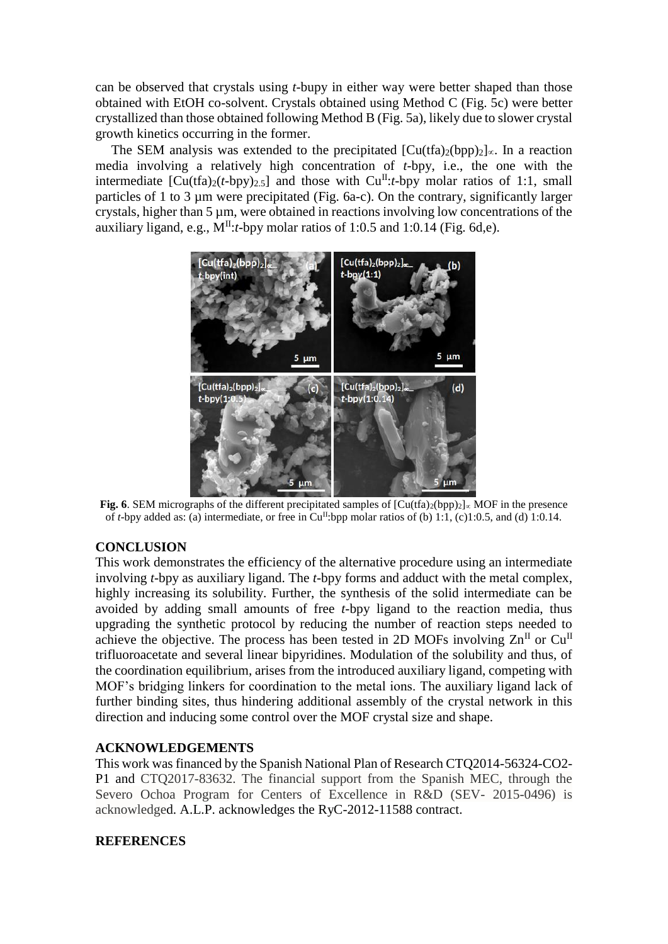can be observed that crystals using *t*-bupy in either way were better shaped than those obtained with EtOH co-solvent. Crystals obtained using Method C (Fig. 5c) were better crystallized than those obtained following Method B (Fig. 5a), likely due to slower crystal growth kinetics occurring in the former.

The SEM analysis was extended to the precipitated  $\lbrack Cu(tfa)_{2}(bpp)_{2} \rbrack \propto$ . In a reaction media involving a relatively high concentration of *t*-bpy, i.e., the one with the intermediate  $\left[\text{Cu}(\text{tfa})_2(t-\text{bpy})_{2.5}\right]$  and those with  $\text{Cu}^{\text{II}}:t-\text{bpy}$  molar ratios of 1:1, small particles of 1 to 3 µm were precipitated (Fig. 6a-c). On the contrary, significantly larger crystals, higher than 5 µm, were obtained in reactions involving low concentrations of the auxiliary ligand, e.g.,  $M<sup>H</sup>:t$ -bpy molar ratios of 1:0.5 and 1:0.14 (Fig. 6d,e).



**Fig. 6**. SEM micrographs of the different precipitated samples of  $\overline{[Cu(tfa)_{2}(bpp)_{2}]_{\infty}}$  MOF in the presence of *t*-bpy added as: (a) intermediate, or free in Cu<sup>II</sup>:bpp molar ratios of (b) 1:1, (c)1:0.5, and (d) 1:0.14.

# **CONCLUSION**

This work demonstrates the efficiency of the alternative procedure using an intermediate involving *t*-bpy as auxiliary ligand. The *t*-bpy forms and adduct with the metal complex, highly increasing its solubility. Further, the synthesis of the solid intermediate can be avoided by adding small amounts of free *t*-bpy ligand to the reaction media, thus upgrading the synthetic protocol by reducing the number of reaction steps needed to achieve the objective. The process has been tested in 2D MOFs involving  $\text{Zn}^{\text{II}}$  or  $\text{Cu}^{\text{II}}$ trifluoroacetate and several linear bipyridines. Modulation of the solubility and thus, of the coordination equilibrium, arises from the introduced auxiliary ligand, competing with MOF's bridging linkers for coordination to the metal ions. The auxiliary ligand lack of further binding sites, thus hindering additional assembly of the crystal network in this direction and inducing some control over the MOF crystal size and shape.

## **ACKNOWLEDGEMENTS**

This work was financed by the Spanish National Plan of Research CTQ2014-56324-CO2- P1 and CTQ2017-83632. The financial support from the Spanish MEC, through the Severo Ochoa Program for Centers of Excellence in R&D (SEV- 2015-0496) is acknowledged. A.L.P. acknowledges the RyC-2012-11588 contract.

#### **REFERENCES**